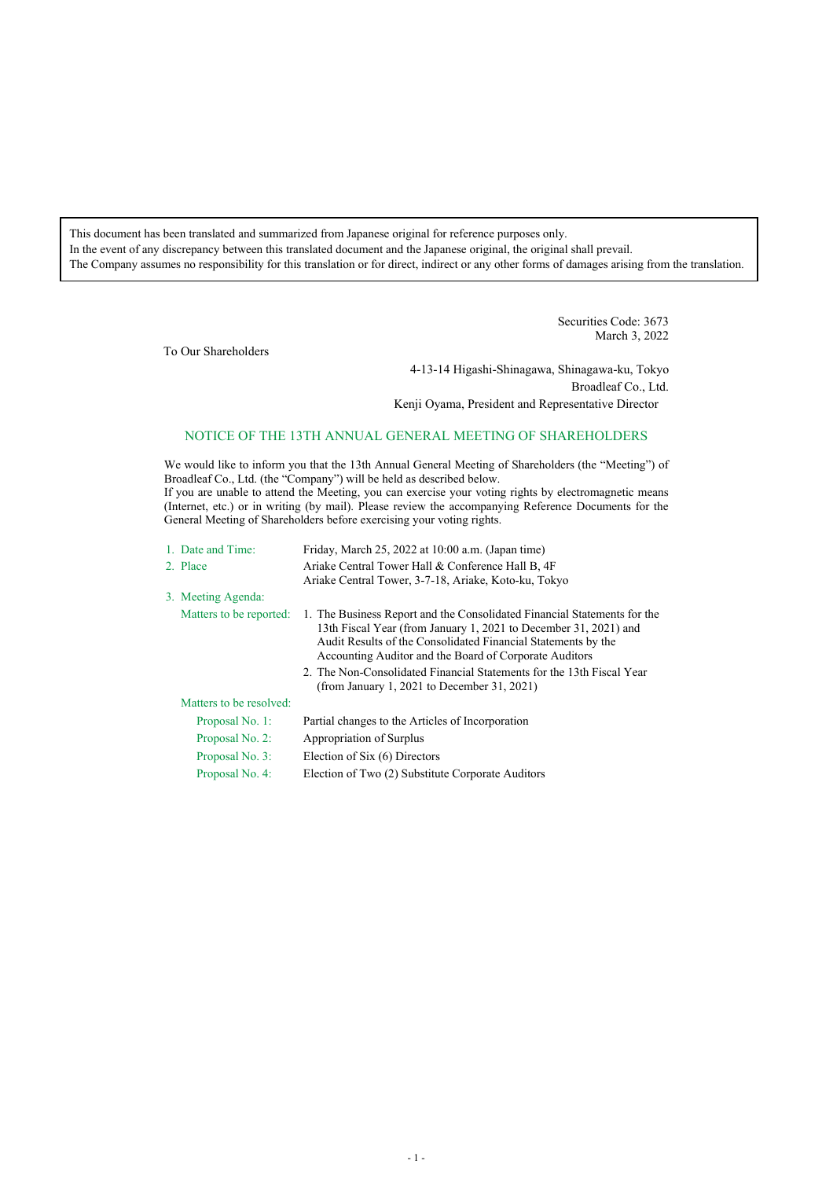This document has been translated and summarized from Japanese original for reference purposes only. In the event of any discrepancy between this translated document and the Japanese original, the original shall prevail. The Company assumes no responsibility for this translation or for direct, indirect or any other forms of damages arising from the translation.

> Securities Code: 3673 March 3, 2022

To Our Shareholders

4-13-14 Higashi-Shinagawa, Shinagawa-ku, Tokyo Broadleaf Co., Ltd. Kenji Oyama, President and Representative Director

## NOTICE OF THE 13TH ANNUAL GENERAL MEETING OF SHAREHOLDERS

We would like to inform you that the 13th Annual General Meeting of Shareholders (the "Meeting") of Broadleaf Co., Ltd. (the "Company") will be held as described below. If you are unable to attend the Meeting, you can exercise your voting rights by electromagnetic means (Internet, etc.) or in writing (by mail). Please review the accompanying Reference Documents for the General Meeting of Shareholders before exercising your voting rights.

| 1. Date and Time:       | Friday, March 25, 2022 at 10:00 a.m. (Japan time)                                                                                                                                                                                                                       |
|-------------------------|-------------------------------------------------------------------------------------------------------------------------------------------------------------------------------------------------------------------------------------------------------------------------|
| 2. Place                | Ariake Central Tower Hall & Conference Hall B, 4F                                                                                                                                                                                                                       |
|                         | Ariake Central Tower, 3-7-18, Ariake, Koto-ku, Tokyo                                                                                                                                                                                                                    |
| 3. Meeting Agenda:      |                                                                                                                                                                                                                                                                         |
| Matters to be reported: | 1. The Business Report and the Consolidated Financial Statements for the<br>13th Fiscal Year (from January 1, 2021 to December 31, 2021) and<br>Audit Results of the Consolidated Financial Statements by the<br>Accounting Auditor and the Board of Corporate Auditors |
|                         | 2. The Non-Consolidated Financial Statements for the 13th Fiscal Year<br>(from January 1, 2021 to December 31, 2021)                                                                                                                                                    |
| Matters to be resolved: |                                                                                                                                                                                                                                                                         |
| Proposal No. 1:         | Partial changes to the Articles of Incorporation                                                                                                                                                                                                                        |
| Proposal No. 2:         | Appropriation of Surplus                                                                                                                                                                                                                                                |
| Proposal No. 3:         | Election of Six (6) Directors                                                                                                                                                                                                                                           |
| Proposal No. 4:         | Election of Two (2) Substitute Corporate Auditors                                                                                                                                                                                                                       |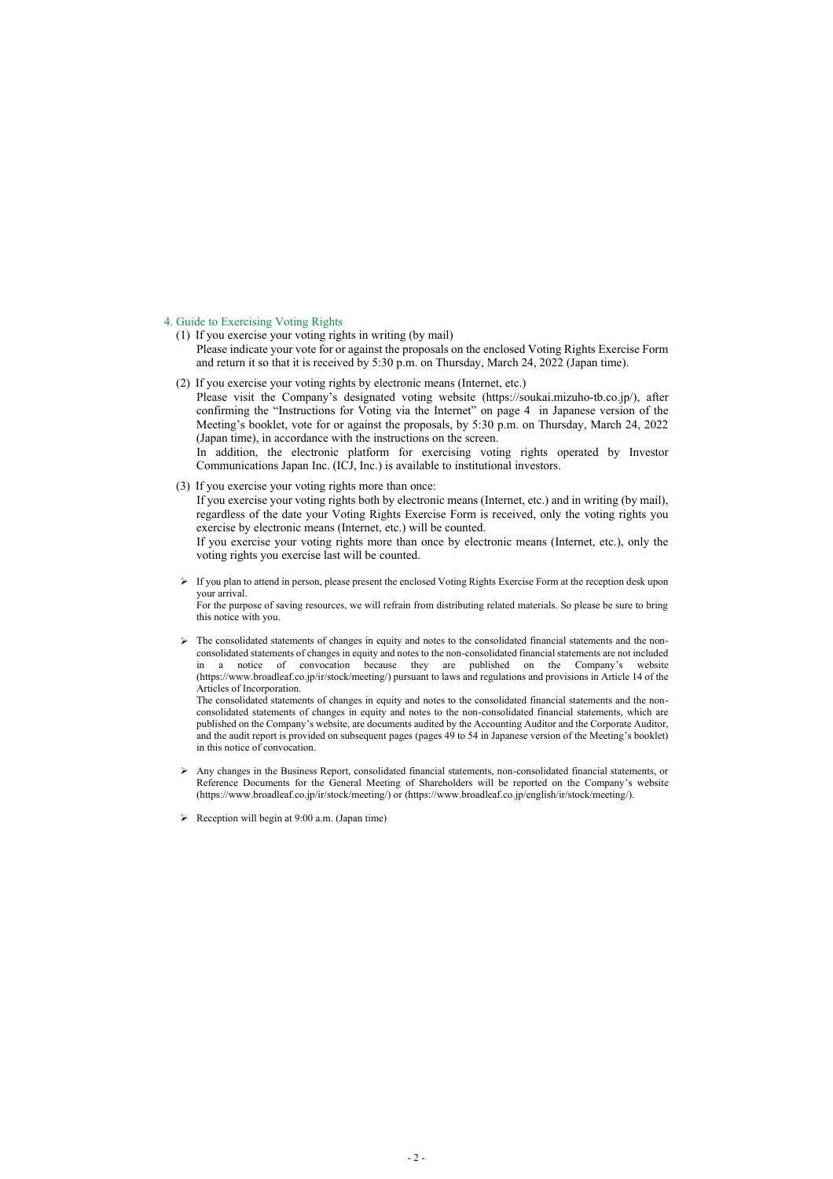#### 4. Guide to Exercising Voting Rights

- (1) If you exercise your voting rights in writing (by mail) Please indicate your vote for or against the proposals on the enclosed Voting Rights Exercise Form and return it so that it is received by 5:30 p.m. on Thursday, March 24, 2022 (Japan time).
- (2) If you exercise your voting rights by electronic means (Internet, etc.)

Please visit the Company's designated voting website (https://soukai.mizuho-tb.co.jp/), after confirming the "Instructions for Voting via the Internet" on page 4 in Japanese version of the Meeting's booklet, vote for or against the proposals, by 5:30 p.m. on Thursday, March 24, 2022 (Japan time), in accordance with the instructions on the screen.

In addition, the electronic platform for exercising voting rights operated by Investor Communications Japan Inc. (ICJ, Inc.) is available to institutional investors.

(3) If you exercise your voting rights more than once:

If you exercise your voting rights both by electronic means (Internet, etc.) and in writing (by mail), regardless of the date your Voting Rights Exercise Form is received, only the voting rights you exercise by electronic means (Internet, etc.) will be counted.

If you exercise your voting rights more than once by electronic means (Internet, etc.), only the voting rights you exercise last will be counted.

➢ If you plan to attend in person, please present the enclosed Voting Rights Exercise Form at the reception desk upon your arrival.

For the purpose of saving resources, we will refrain from distributing related materials. So please be sure to bring this notice with you.

➢ The consolidated statements of changes in equity and notes to the consolidated financial statements and the nonconsolidated statements of changes in equity and notes to the non-consolidated financial statements are not included in a notice of convocation because they are published on the Company's website (https://www.broadleaf.co.jp/ir/stock/meeting/) pursuant to laws and regulations and provisions in Article 14 of the Articles of Incorporation.

The consolidated statements of changes in equity and notes to the consolidated financial statements and the nonconsolidated statements of changes in equity and notes to the non-consolidated financial statements, which are published on the Company's website, are documents audited by the Accounting Auditor and the Corporate Auditor, and the audit report is provided on subsequent pages (pages 49 to 54 in Japanese version of the Meeting's booklet) in this notice of convocation.

- ➢ Any changes in the Business Report, consolidated financial statements, non-consolidated financial statements, or Reference Documents for the General Meeting of Shareholders will be reported on the Company's website (https://www.broadleaf.co.jp/ir/stock/meeting/) or (https://www.broadleaf.co.jp/english/ir/stock/meeting/).
- $\triangleright$  Reception will begin at 9:00 a.m. (Japan time)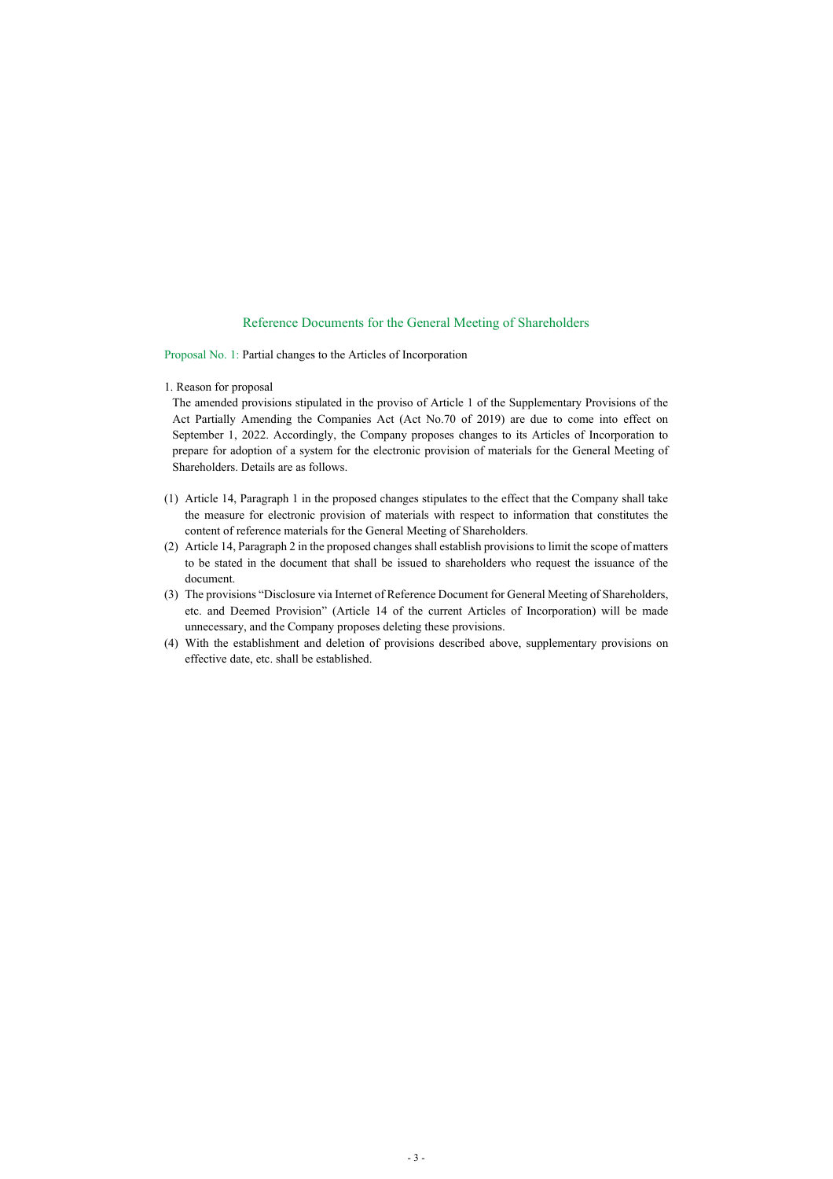### Reference Documents for the General Meeting of Shareholders

Proposal No. 1: Partial changes to the Articles of Incorporation

1. Reason for proposal

The amended provisions stipulated in the proviso of Article 1 of the Supplementary Provisions of the Act Partially Amending the Companies Act (Act No.70 of 2019) are due to come into effect on September 1, 2022. Accordingly, the Company proposes changes to its Articles of Incorporation to prepare for adoption of a system for the electronic provision of materials for the General Meeting of Shareholders. Details are as follows.

- (1) Article 14, Paragraph 1 in the proposed changes stipulates to the effect that the Company shall take the measure for electronic provision of materials with respect to information that constitutes the content of reference materials for the General Meeting of Shareholders.
- (2) Article 14, Paragraph 2 in the proposed changes shall establish provisions to limit the scope of matters to be stated in the document that shall be issued to shareholders who request the issuance of the document.
- (3) The provisions "Disclosure via Internet of Reference Document for General Meeting of Shareholders, etc. and Deemed Provision" (Article 14 of the current Articles of Incorporation) will be made unnecessary, and the Company proposes deleting these provisions.
- (4) With the establishment and deletion of provisions described above, supplementary provisions on effective date, etc. shall be established.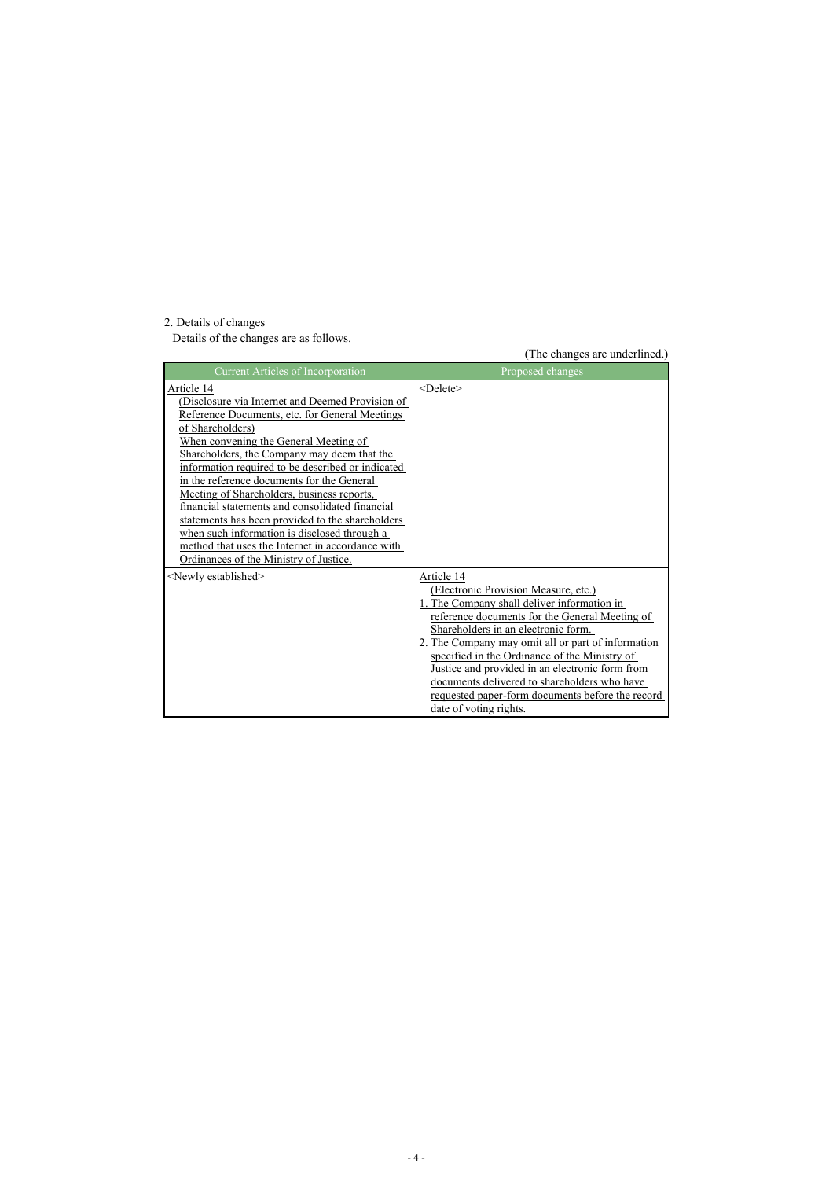# 2. Details of changes

Details of the changes are as follows.

|                                                                                                                                                                                                                                                                                                                                                                                                                                                                                                                                                                                                                                           | (The changes are underlined.)                                                                                                                                                                                                                                                                                                                                                                                                                                                      |
|-------------------------------------------------------------------------------------------------------------------------------------------------------------------------------------------------------------------------------------------------------------------------------------------------------------------------------------------------------------------------------------------------------------------------------------------------------------------------------------------------------------------------------------------------------------------------------------------------------------------------------------------|------------------------------------------------------------------------------------------------------------------------------------------------------------------------------------------------------------------------------------------------------------------------------------------------------------------------------------------------------------------------------------------------------------------------------------------------------------------------------------|
| Current Articles of Incorporation                                                                                                                                                                                                                                                                                                                                                                                                                                                                                                                                                                                                         | Proposed changes                                                                                                                                                                                                                                                                                                                                                                                                                                                                   |
| <u>Article 14</u><br>(Disclosure via Internet and Deemed Provision of<br>Reference Documents, etc. for General Meetings<br>of Shareholders)<br>When convening the General Meeting of<br>Shareholders, the Company may deem that the<br>information required to be described or indicated<br>in the reference documents for the General<br>Meeting of Shareholders, business reports,<br>financial statements and consolidated financial<br>statements has been provided to the shareholders<br>when such information is disclosed through a<br>method that uses the Internet in accordance with<br>Ordinances of the Ministry of Justice. | $<$ Delete $>$                                                                                                                                                                                                                                                                                                                                                                                                                                                                     |
| <newly established=""></newly>                                                                                                                                                                                                                                                                                                                                                                                                                                                                                                                                                                                                            | Article 14<br>(Electronic Provision Measure, etc.)<br>1. The Company shall deliver information in<br>reference documents for the General Meeting of<br>Shareholders in an electronic form.<br>2. The Company may omit all or part of information<br>specified in the Ordinance of the Ministry of<br>Justice and provided in an electronic form from<br>documents delivered to shareholders who have<br>requested paper-form documents before the record<br>date of voting rights. |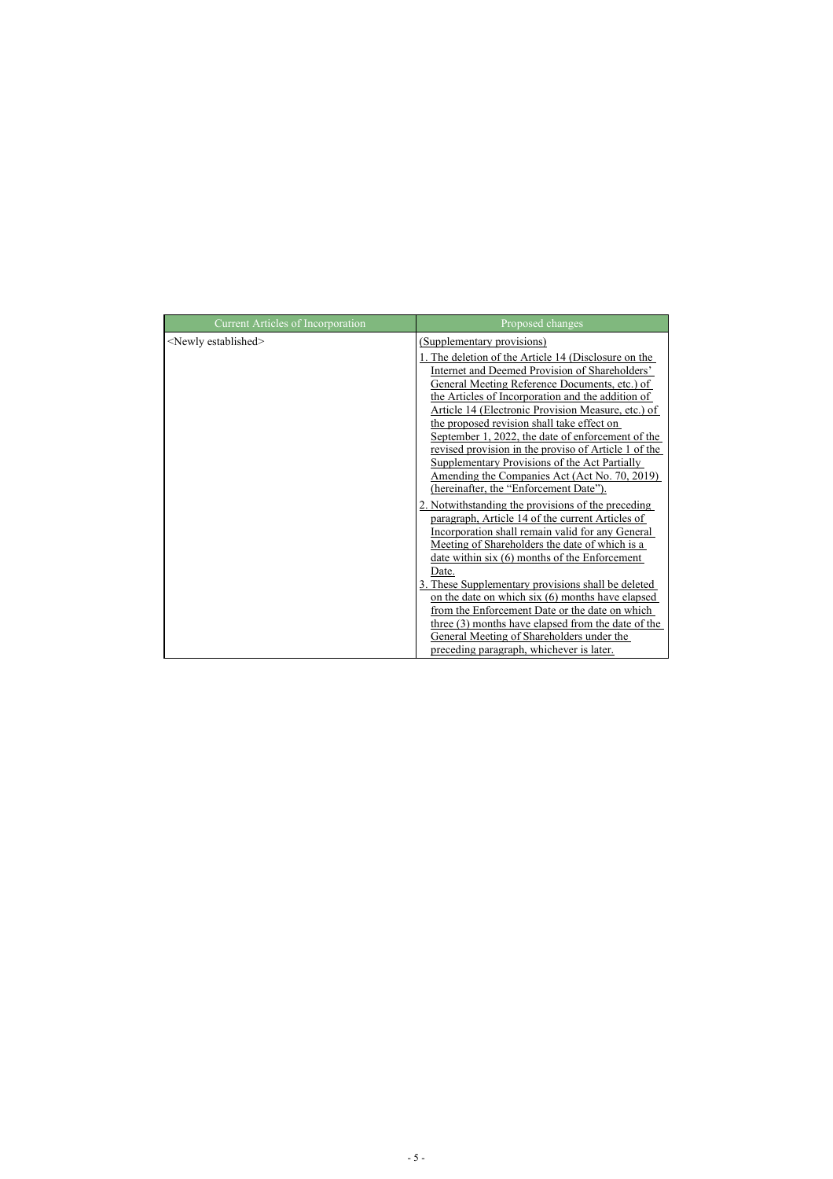| Current Articles of Incorporation | Proposed changes                                                                                                                                                                                                                                                                                                                                                                                                                                                                                                                                                          |
|-----------------------------------|---------------------------------------------------------------------------------------------------------------------------------------------------------------------------------------------------------------------------------------------------------------------------------------------------------------------------------------------------------------------------------------------------------------------------------------------------------------------------------------------------------------------------------------------------------------------------|
| <newly established=""></newly>    | (Supplementary provisions)                                                                                                                                                                                                                                                                                                                                                                                                                                                                                                                                                |
|                                   | 1. The deletion of the Article 14 (Disclosure on the<br>Internet and Deemed Provision of Shareholders'<br>General Meeting Reference Documents, etc.) of<br>the Articles of Incorporation and the addition of<br>Article 14 (Electronic Provision Measure, etc.) of<br>the proposed revision shall take effect on<br>September 1, 2022, the date of enforcement of the<br>revised provision in the proviso of Article 1 of the<br>Supplementary Provisions of the Act Partially<br>Amending the Companies Act (Act No. 70, 2019)<br>(hereinafter, the "Enforcement Date"). |
|                                   | 2. Notwithstanding the provisions of the preceding<br>paragraph, Article 14 of the current Articles of<br>Incorporation shall remain valid for any General<br>Meeting of Shareholders the date of which is a<br>date within $six(6)$ months of the Enforcement<br>Date.                                                                                                                                                                                                                                                                                                   |
|                                   | 3. These Supplementary provisions shall be deleted<br>on the date on which six (6) months have elapsed<br>from the Enforcement Date or the date on which<br>three (3) months have elapsed from the date of the<br>General Meeting of Shareholders under the<br>preceding paragraph, whichever is later.                                                                                                                                                                                                                                                                   |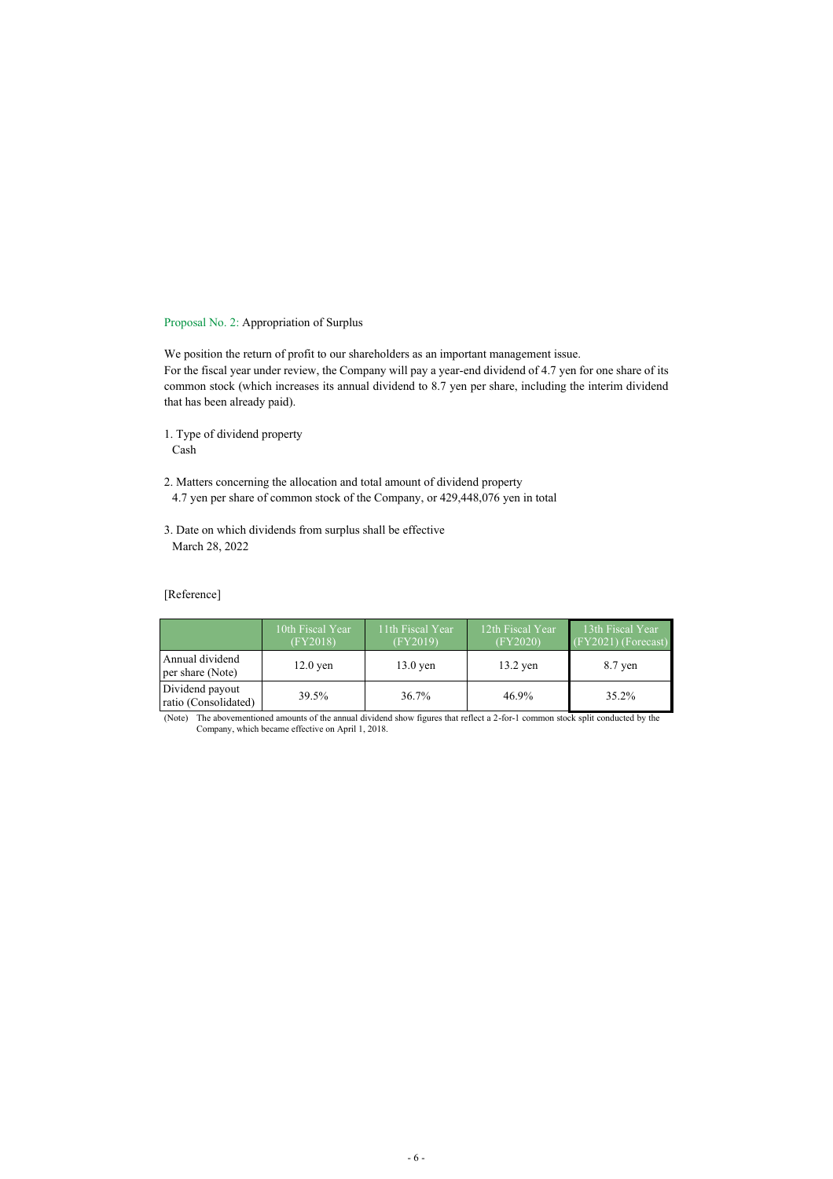#### Proposal No. 2: Appropriation of Surplus

We position the return of profit to our shareholders as an important management issue. For the fiscal year under review, the Company will pay a year-end dividend of 4.7 yen for one share of its common stock (which increases its annual dividend to 8.7 yen per share, including the interim dividend that has been already paid).

- 1. Type of dividend property Cash
- 2. Matters concerning the allocation and total amount of dividend property 4.7 yen per share of common stock of the Company, or 429,448,076 yen in total
- 3. Date on which dividends from surplus shall be effective March 28, 2022

[Reference]

|                                         | 10th Fiscal Year<br>(FY2018) | 11th Fiscal Year<br>(FY2019) | 12th Fiscal Year<br>(FY2020) | 13th Fiscal Year<br>$(FY2021)$ (Forecast) |
|-----------------------------------------|------------------------------|------------------------------|------------------------------|-------------------------------------------|
| Annual dividend<br>per share (Note)     | $12.0$ yen                   | $13.0$ yen                   | $13.2$ yen                   | $8.7$ yen                                 |
| Dividend payout<br>ratio (Consolidated) | 39.5%                        | 36.7%                        | 46.9%                        | 35.2%                                     |

(Note) The abovementioned amounts of the annual dividend show figures that reflect a 2-for-1 common stock split conducted by the Company, which became effective on April 1, 2018.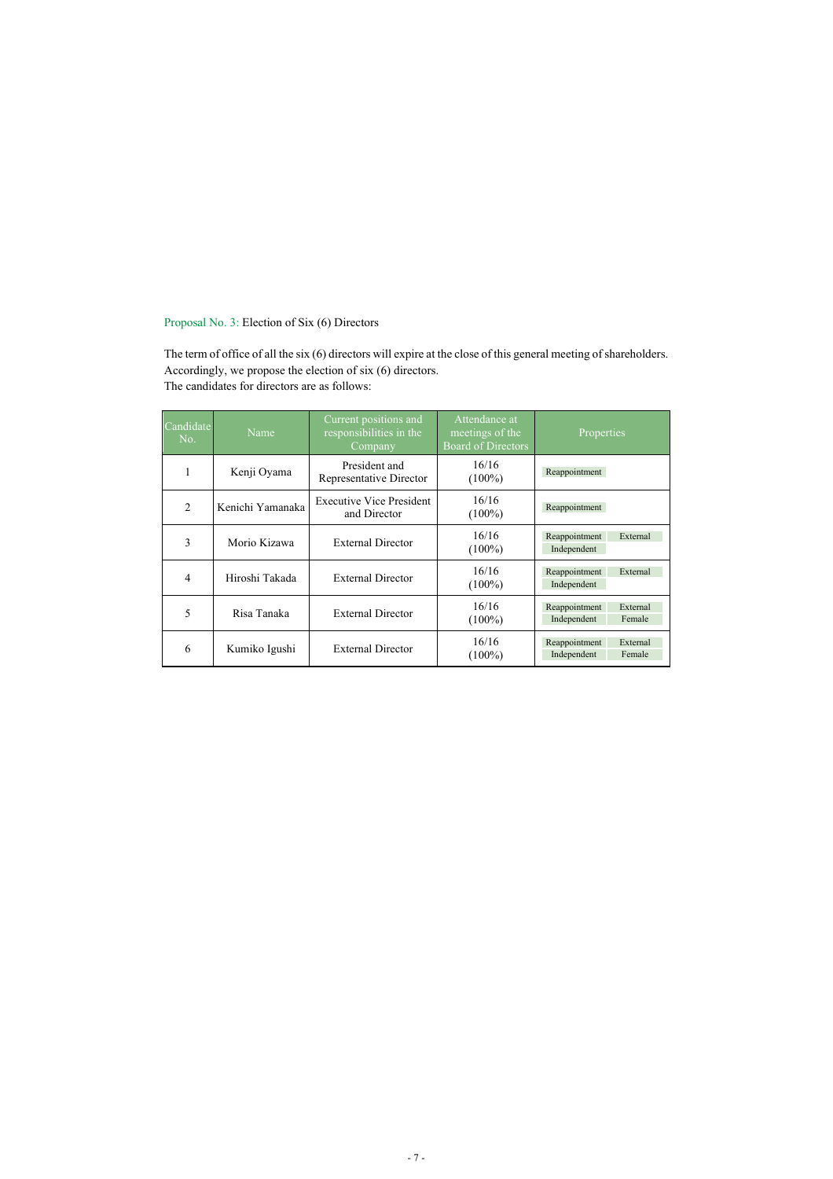# Proposal No. 3: Election of Six (6) Directors

The term of office of all the six (6) directors will expire at the close of this general meeting of shareholders. Accordingly, we propose the election of six (6) directors. The candidates for directors are as follows:

| Candidate<br>No. | Name             | Current positions and<br>responsibilities in the<br>Company | Attendance at<br>meetings of the<br><b>Board of Directors</b> | Properties                                         |
|------------------|------------------|-------------------------------------------------------------|---------------------------------------------------------------|----------------------------------------------------|
|                  | Kenji Oyama      | President and<br>Representative Director                    | 16/16<br>$(100\%)$                                            | Reappointment                                      |
| $\mathfrak{D}$   | Kenichi Yamanaka | <b>Executive Vice President</b><br>and Director             | 16/16<br>$(100\%)$                                            | Reappointment                                      |
| 3                | Morio Kizawa     | <b>External Director</b>                                    | 16/16<br>$(100\%)$                                            | Reappointment<br>External<br>Independent           |
| 4                | Hiroshi Takada   | <b>External Director</b>                                    | 16/16<br>$(100\%)$                                            | Reappointment<br>External<br>Independent           |
| 5                | Risa Tanaka      | <b>External Director</b>                                    | 16/16<br>$(100\%)$                                            | Reappointment<br>External<br>Independent<br>Female |
| 6                | Kumiko Igushi    | <b>External Director</b>                                    | 16/16<br>$(100\%)$                                            | Reappointment<br>External<br>Independent<br>Female |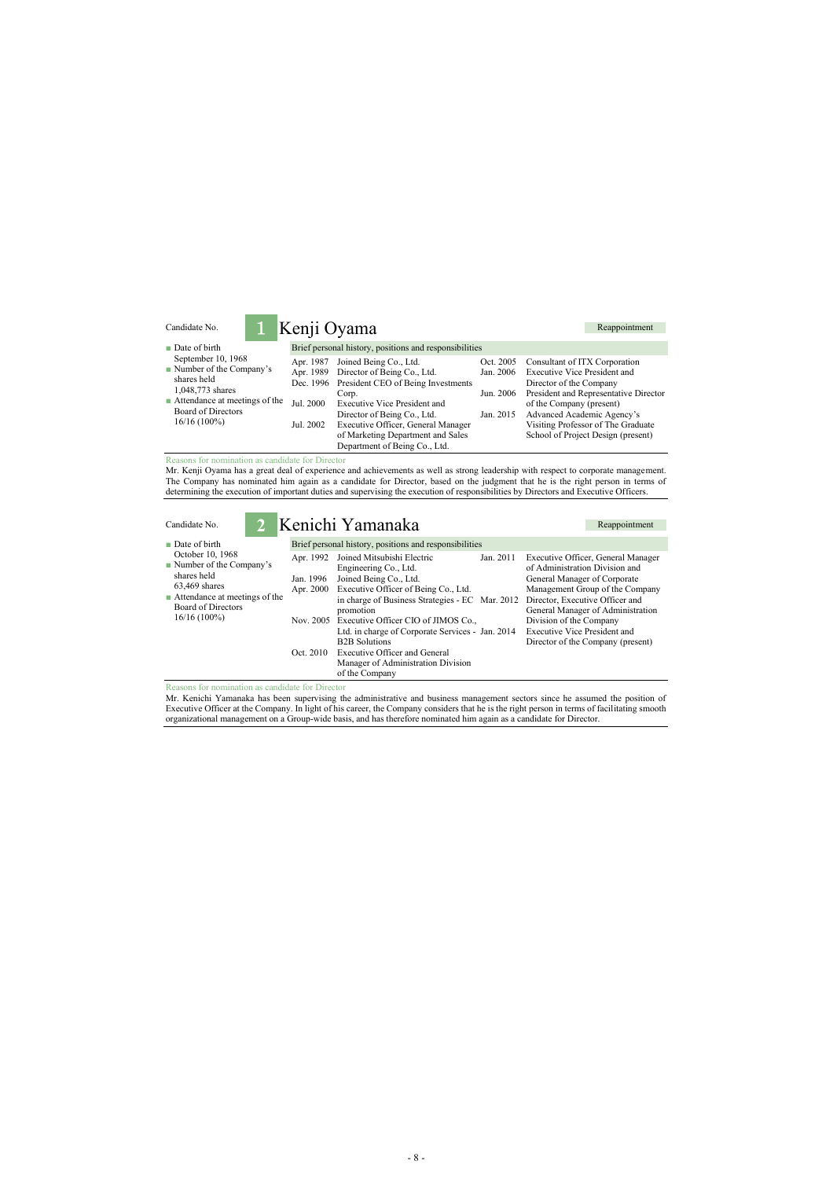| Candidate No.                                                                                                                                                                                 | Kenji Oyama                         |                                                                                                                                                                                                                                                                                                    |  | Reappointment                                                                                                                                                                                      |
|-----------------------------------------------------------------------------------------------------------------------------------------------------------------------------------------------|-------------------------------------|----------------------------------------------------------------------------------------------------------------------------------------------------------------------------------------------------------------------------------------------------------------------------------------------------|--|----------------------------------------------------------------------------------------------------------------------------------------------------------------------------------------------------|
| $\blacksquare$ Date of birth<br>September 10, 1968<br>Number of the Company's<br>shares held<br>1,048,773 shares<br>$\blacksquare$ Attendance at meetings of the<br><b>Board of Directors</b> | Apr. 1987<br>Apr. 1989<br>Jul. 2000 | Brief personal history, positions and responsibilities<br>Joined Being Co., Ltd.<br>Oct. 2005<br>Director of Being Co., Ltd.<br>Jan. 2006<br>Dec. 1996 President CEO of Being Investments<br>Jun. 2006<br>Corp.<br><b>Executive Vice President and</b><br>Jan. 2015<br>Director of Being Co., Ltd. |  | Consultant of ITX Corporation<br><b>Executive Vice President and</b><br>Director of the Company<br>President and Representative Director<br>of the Company (present)<br>Advanced Academic Agency's |
| $16/16(100\%)$                                                                                                                                                                                | Jul. 2002                           | Executive Officer, General Manager<br>of Marketing Department and Sales<br>Department of Being Co., Ltd.                                                                                                                                                                                           |  | Visiting Professor of The Graduate<br>School of Project Design (present)                                                                                                                           |
| Reasons for nomination as candidate for Director<br>$\mathbf{M}$ , and $\mathbf{M}$ , and $\mathbf{M}$ , and $\mathbf{M}$ , and $\mathbf{M}$ , and $\mathbf{M}$                               |                                     | . The contract of the contract of the contract of the contract of the contract of the contract of the contract of the contract of the contract of the contract of the contract of the contract of the contract of the contrac                                                                      |  | $\sim$ $\sim$ $\sim$ $\sim$ $\sim$ $\sim$                                                                                                                                                          |

Mr. Kenji Oyama has a great deal of experience and achievements as well as strong leadership with respect to corporate management. The Company has nominated him again as a candidate for Director, based on the judgment that he is the right person in terms of determining the execution of important duties and supervising the execution of responsibilities by Directors and Executive Officers.

| Candidate No.                                                                                                                                                   |                                     | 2 Kenichi Yamanaka                                                                                                                                                                                                                                                                                                                                                                                                    |           | Reappointment                                                                                                                                                                                                                                                                                                          |
|-----------------------------------------------------------------------------------------------------------------------------------------------------------------|-------------------------------------|-----------------------------------------------------------------------------------------------------------------------------------------------------------------------------------------------------------------------------------------------------------------------------------------------------------------------------------------------------------------------------------------------------------------------|-----------|------------------------------------------------------------------------------------------------------------------------------------------------------------------------------------------------------------------------------------------------------------------------------------------------------------------------|
| $\blacksquare$ Date of birth                                                                                                                                    |                                     | Brief personal history, positions and responsibilities                                                                                                                                                                                                                                                                                                                                                                |           |                                                                                                                                                                                                                                                                                                                        |
| October 10, 1968<br>Number of the Company's<br>shares held<br>$63,469$ shares<br>■ Attendance at meetings of the<br><b>Board of Directors</b><br>$16/16(100\%)$ | Apr. 1992<br>Jan. 1996<br>Oct. 2010 | Joined Mitsubishi Electric<br>Engineering Co., Ltd.<br>Joined Being Co., Ltd.<br>Apr. 2000 Executive Officer of Being Co., Ltd.<br>in charge of Business Strategies - EC Mar. 2012<br>promotion<br>Nov. 2005 Executive Officer CIO of JIMOS Co.,<br>Ltd. in charge of Corporate Services - Jan. 2014<br><b>B2B Solutions</b><br>Executive Officer and General<br>Manager of Administration Division<br>of the Company | Jan. 2011 | Executive Officer, General Manager<br>of Administration Division and<br>General Manager of Corporate<br>Management Group of the Company<br>Director, Executive Officer and<br>General Manager of Administration<br>Division of the Company<br><b>Executive Vice President and</b><br>Director of the Company (present) |

Reasons for nomination as candidate for Director

Mr. Kenichi Yamanaka has been supervising the administrative and business management sectors since he assumed the position of Executive Officer at the Company. In light of his career, the Company considers that he is the right person in terms of facilitating smooth organizational management on a Group-wide basis, and has therefore nominated him again as a candidate for Director.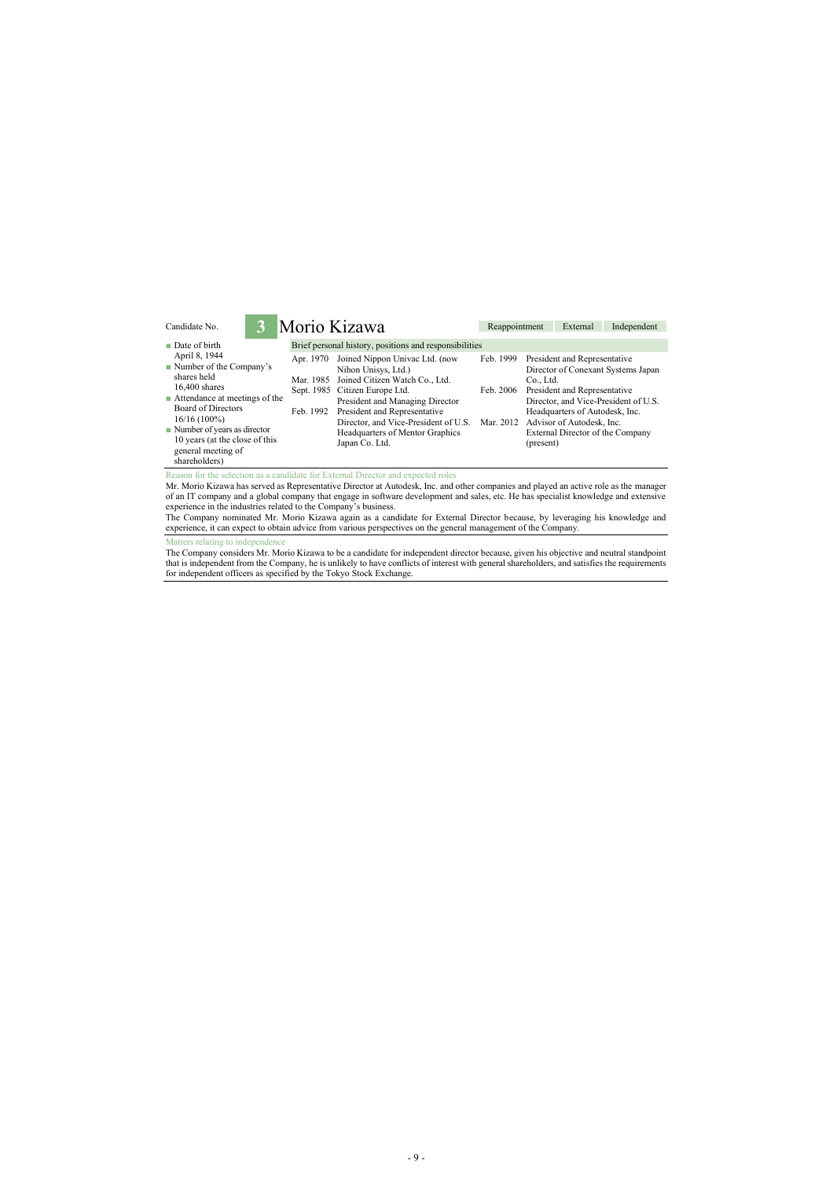| Candidate No.                                                                                                                                                                                                                         |  | Morio Kizawa |                                                                                                                                                                                                                           | Reappointment          |                                                                                                                                                                                      | External | Independent |
|---------------------------------------------------------------------------------------------------------------------------------------------------------------------------------------------------------------------------------------|--|--------------|---------------------------------------------------------------------------------------------------------------------------------------------------------------------------------------------------------------------------|------------------------|--------------------------------------------------------------------------------------------------------------------------------------------------------------------------------------|----------|-------------|
| $\blacksquare$ Date of birth<br>April 8, 1944<br>Number of the Company's<br>shares held                                                                                                                                               |  | Apr. 1970    | Brief personal history, positions and responsibilities<br>Joined Nippon Univac Ltd. (now<br>Nihon Unisys, Ltd.)<br>Mar. 1985 Joined Citizen Watch Co., Ltd.                                                               | Feb. 1999<br>Feb. 2006 | President and Representative<br>Director of Conexant Systems Japan<br>Co., Ltd.                                                                                                      |          |             |
| $16,400$ shares<br>$\blacksquare$ Attendance at meetings of the<br><b>Board of Directors</b><br>$16/16(100\%)$<br>$\blacksquare$ Number of years as director<br>10 years (at the close of this<br>general meeting of<br>shareholders) |  | Feb. 1992    | Sept. 1985 Citizen Europe Ltd.<br>President and Managing Director<br>President and Representative<br>Director, and Vice-President of U.S. Mar. 2012<br><b>Headquarters of Mentor Graphics</b><br>Japan Co. Ltd.           |                        | President and Representative<br>Director, and Vice-President of U.S.<br>Headquarters of Autodesk, Inc.<br>Advisor of Autodesk, Inc.<br>External Director of the Company<br>(present) |          |             |
|                                                                                                                                                                                                                                       |  |              | Reason for the selection as a candidate for External Director and expected roles<br>Mr. Morio Kizawa has served as Representative Director at Autodesk, Inc. and other companies and played an active role as the manager |                        |                                                                                                                                                                                      |          |             |

of an IT company and a global company that engage in software development and sales, etc. He has specialist knowledge and extensive experience in the industries related to the Company's business.

The Company nominated Mr. Morio Kizawa again as a candidate for External Director because, by leveraging his knowledge and experience, it can expect to obtain advice from various perspectives on the general management of the Company.

### Matters relating to independence

The Company considers Mr. Morio Kizawa to be a candidate for independent director because, given his objective and neutral standpoint that is independent from the Company, he is unlikely to have conflicts of interest with general shareholders, and satisfies the requirements for independent officers as specified by the Tokyo Stock Exchange.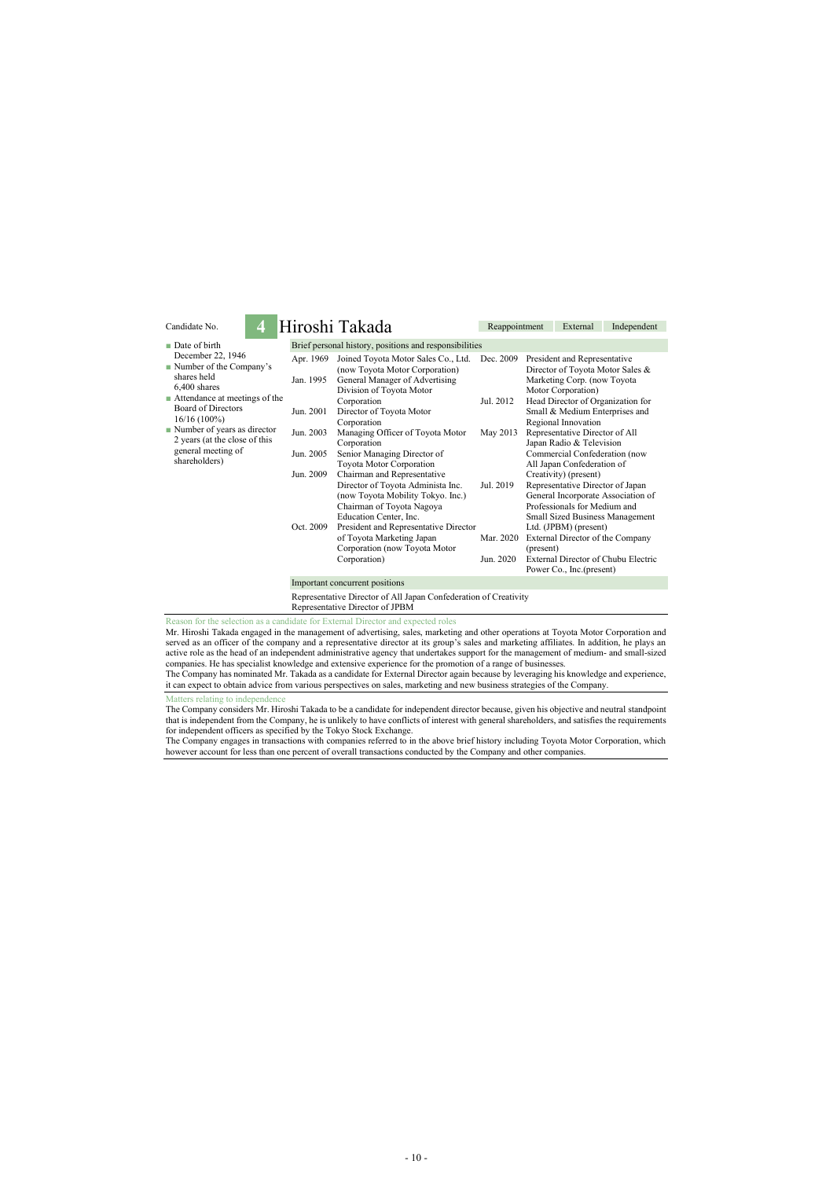| Candidate No.                                                                                                                                            | 4 |                        | Hiroshi Takada                                                                                                                                               | Reappointment          |                                                                                                                  | External                                                                                                                                                                                                                                                                                               | Independent                                                             |  |  |
|----------------------------------------------------------------------------------------------------------------------------------------------------------|---|------------------------|--------------------------------------------------------------------------------------------------------------------------------------------------------------|------------------------|------------------------------------------------------------------------------------------------------------------|--------------------------------------------------------------------------------------------------------------------------------------------------------------------------------------------------------------------------------------------------------------------------------------------------------|-------------------------------------------------------------------------|--|--|
| $\blacksquare$ Date of birth                                                                                                                             |   |                        | Brief personal history, positions and responsibilities                                                                                                       |                        |                                                                                                                  |                                                                                                                                                                                                                                                                                                        |                                                                         |  |  |
| December 22, 1946<br>Number of the Company's<br>shares held<br>$6,400$ shares<br>■ Attendance at meetings of the<br>Board of Directors<br>$16/16(100\%)$ |   | Apr. 1969<br>Jan. 1995 | Joined Toyota Motor Sales Co., Ltd.<br>Dec. 2009<br>(now Toyota Motor Corporation)<br>General Manager of Advertising<br>Division of Toyota Motor             |                        |                                                                                                                  | President and Representative<br>Director of Toyota Motor Sales &<br>Marketing Corp. (now Toyota                                                                                                                                                                                                        |                                                                         |  |  |
|                                                                                                                                                          |   | Jun. 2001              | Corporation<br>Director of Toyota Motor<br>Corporation                                                                                                       | Jul. 2012              | Motor Corporation)<br>Head Director of Organization for<br>Small & Medium Enterprises and<br>Regional Innovation |                                                                                                                                                                                                                                                                                                        |                                                                         |  |  |
| $\blacksquare$ Number of years as director<br>2 years (at the close of this                                                                              |   | Jun. 2003              | Managing Officer of Toyota Motor<br>Corporation                                                                                                              | May 2013               |                                                                                                                  | Representative Director of All<br>Japan Radio & Television<br>Commercial Confederation (now<br>All Japan Confederation of<br>Creativity) (present)<br>Representative Director of Japan<br>General Incorporate Association of<br>Professionals for Medium and<br><b>Small Sized Business Management</b> |                                                                         |  |  |
| general meeting of<br>shareholders)                                                                                                                      |   | Jun. 2005              | Senior Managing Director of<br>Toyota Motor Corporation                                                                                                      |                        |                                                                                                                  |                                                                                                                                                                                                                                                                                                        |                                                                         |  |  |
|                                                                                                                                                          |   | Jun. 2009              | Chairman and Representative<br>Director of Toyota Administa Inc.<br>(now Toyota Mobility Tokyo. Inc.)<br>Chairman of Toyota Nagoya<br>Education Center, Inc. | Jul. 2019              |                                                                                                                  |                                                                                                                                                                                                                                                                                                        |                                                                         |  |  |
|                                                                                                                                                          |   | Oct. 2009              | President and Representative Director<br>of Toyota Marketing Japan<br>Corporation (now Toyota Motor<br>Corporation)                                          | Mar. 2020<br>Jun. 2020 | (present)                                                                                                        | Ltd. (JPBM) (present)<br>Power Co., Inc. (present)                                                                                                                                                                                                                                                     | External Director of the Company<br>External Director of Chubu Electric |  |  |
|                                                                                                                                                          |   |                        | Important concurrent positions                                                                                                                               |                        |                                                                                                                  |                                                                                                                                                                                                                                                                                                        |                                                                         |  |  |
|                                                                                                                                                          |   |                        | Depresentative Director of All Japan Confederation of Creativity                                                                                             |                        |                                                                                                                  |                                                                                                                                                                                                                                                                                                        |                                                                         |  |  |

ederation of Creativity Representative Director of JPBM

selection as a candidate for External Director and expected role

Mr. Hiroshi Takada engaged in the management of advertising, sales, marketing and other operations at Toyota Motor Corporation and served as an officer of the company and a representative director at its group's sales and marketing affiliates. In addition, he plays an active role as the head of an independent administrative agency that undertakes support for the management of medium- and small-sized companies. He has specialist knowledge and extensive experience for the promotion of a range of businesses.

The Company has nominated Mr. Takada as a candidate for External Director again because by leveraging his knowledge and experience, it can expect to obtain advice from various perspectives on sales, marketing and new business strategies of the Company.

Matters relating to indep

The Company considers Mr. Hiroshi Takada to be a candidate for independent director because, given his objective and neutral standpoint that is independent from the Company, he is unlikely to have conflicts of interest with general shareholders, and satisfies the requirements for independent officers as specified by the Tokyo Stock Exchange.

The Company engages in transactions with companies referred to in the above brief history including Toyota Motor Corporation, which however account for less than one percent of overall transactions conducted by the Company and other companies.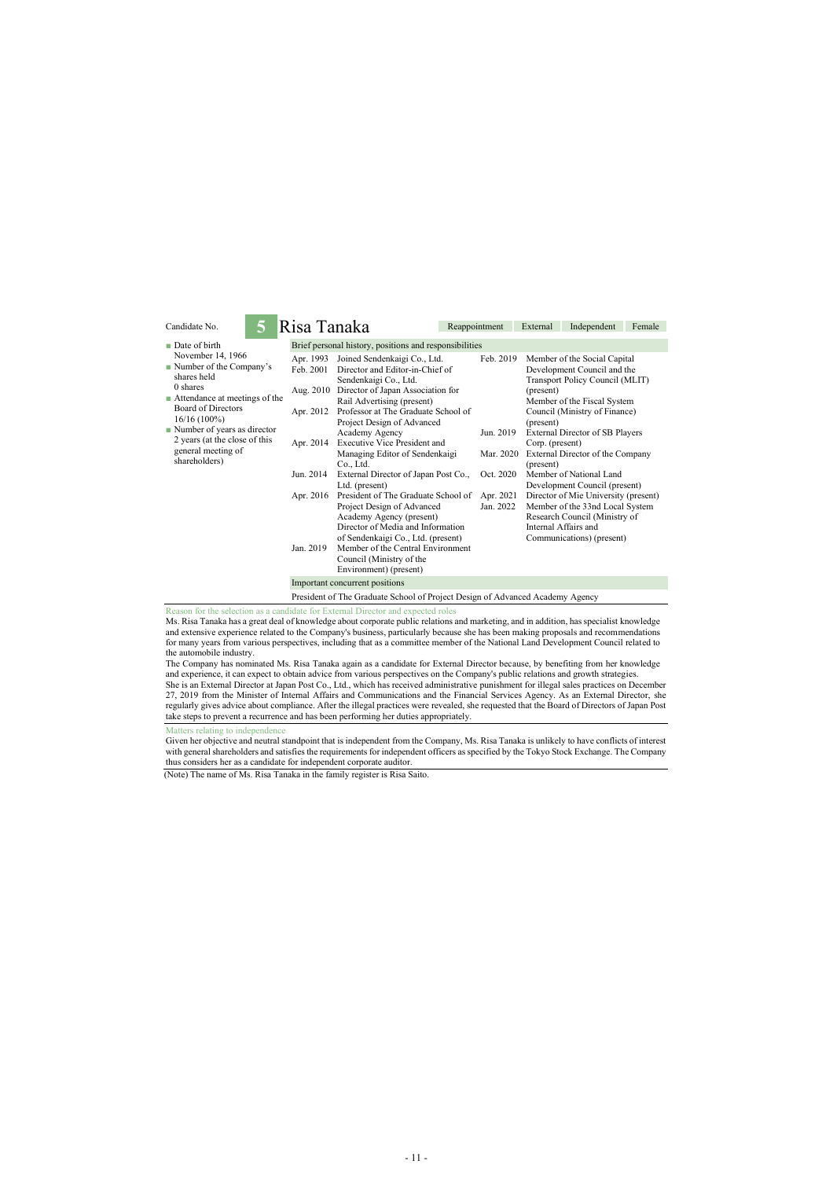| 5<br>Candidate No.                                                                                                                                                       | Risa Tanaka                                            |                                                                                                                                                                                                                                                                     | Reappointment          | External  | Independent                                                                                                                                                                                                                                                           | Female |  |
|--------------------------------------------------------------------------------------------------------------------------------------------------------------------------|--------------------------------------------------------|---------------------------------------------------------------------------------------------------------------------------------------------------------------------------------------------------------------------------------------------------------------------|------------------------|-----------|-----------------------------------------------------------------------------------------------------------------------------------------------------------------------------------------------------------------------------------------------------------------------|--------|--|
| ■ Date of birth                                                                                                                                                          | Brief personal history, positions and responsibilities |                                                                                                                                                                                                                                                                     |                        |           |                                                                                                                                                                                                                                                                       |        |  |
| November 14, 1966<br>Number of the Company's<br>shares held<br>$0$ shares<br>$\blacksquare$ Attendance at meetings of the<br><b>Board of Directors</b><br>$16/16(100\%)$ | Apr. 1993<br>Feb. 2001<br>Aug. 2010<br>Apr. 2012       | Joined Sendenkaigi Co., Ltd.<br>Director and Editor-in-Chief of<br>Sendenkaigi Co., Ltd.<br>Director of Japan Association for<br>Rail Advertising (present)<br>Professor at The Graduate School of<br>Project Design of Advanced                                    | Feb. 2019              | (present) | Member of the Social Capital<br>Development Council and the<br>Transport Policy Council (MLIT)<br>Member of the Fiscal System<br>Council (Ministry of Finance)<br>(present)<br>External Director of SB Players<br>Corp. (present)<br>External Director of the Company |        |  |
| $\blacksquare$ Number of years as director<br>2 years (at the close of this<br>general meeting of<br>shareholders)                                                       | Apr. 2014                                              | Academy Agency<br><b>Executive Vice President and</b><br>Managing Editor of Sendenkaigi<br>Co., Ltd.                                                                                                                                                                | Jun. 2019<br>Mar. 2020 | (present) |                                                                                                                                                                                                                                                                       |        |  |
|                                                                                                                                                                          | Jun. 2014                                              | External Director of Japan Post Co.,<br>Ltd. (present)                                                                                                                                                                                                              | Oct. 2020              |           | Member of National Land<br>Development Council (present)                                                                                                                                                                                                              |        |  |
|                                                                                                                                                                          | Apr. 2016<br>Jan. 2019                                 | President of The Graduate School of<br>Project Design of Advanced<br>Academy Agency (present)<br>Director of Media and Information<br>of Sendenkaigi Co., Ltd. (present)<br>Member of the Central Environment<br>Council (Ministry of the<br>Environment) (present) | Apr. 2021<br>Jan. 2022 |           | Director of Mie University (present)<br>Member of the 33nd Local System<br>Research Council (Ministry of<br>Internal Affairs and<br>Communications) (present)                                                                                                         |        |  |
|                                                                                                                                                                          |                                                        | Important concurrent positions                                                                                                                                                                                                                                      |                        |           |                                                                                                                                                                                                                                                                       |        |  |
|                                                                                                                                                                          |                                                        | President of The Graduate School of Project Design of Advanced Academy Agency                                                                                                                                                                                       |                        |           |                                                                                                                                                                                                                                                                       |        |  |

Reason for the selection as a candidate for External Director and expected roles

Ms. Risa Tanaka has a great deal of knowledge about corporate public relations and marketing, and in addition, has specialist knowledge and extensive experience related to the Company's business, particularly because she has been making proposals and recommendations for many years from various perspectives, including that as a committee member of the National Land Development Council related to the automobile industry.

The Company has nominated Ms. Risa Tanaka again as a candidate for External Director because, by benefiting from her knowledge and experience, it can expect to obtain advice from various perspectives on the Company's public relations and growth strategies. She is an External Director at Japan Post Co., Ltd., which has received administrative punishment for illegal sales practices on December 27, 2019 from the Minister of Internal Affairs and Communications and the Financial Services Agency. As an External Director, she regularly gives advice about compliance. After the illegal practices were revealed, she requested that the Board of Directors of Japan Post take steps to prevent a recurrence and has been performing her duties appropriately.

Matters relating to independence

п

Given her objective and neutral standpoint that is independent from the Company, Ms. Risa Tanaka is unlikely to have conflicts of interest with general shareholders and satisfies the requirements for independent officers as specified by the Tokyo Stock Exchange. The Company thus considers her as a candidate for independent corporate auditor.

(Note) The name of Ms. Risa Tanaka in the family register is Risa Saito.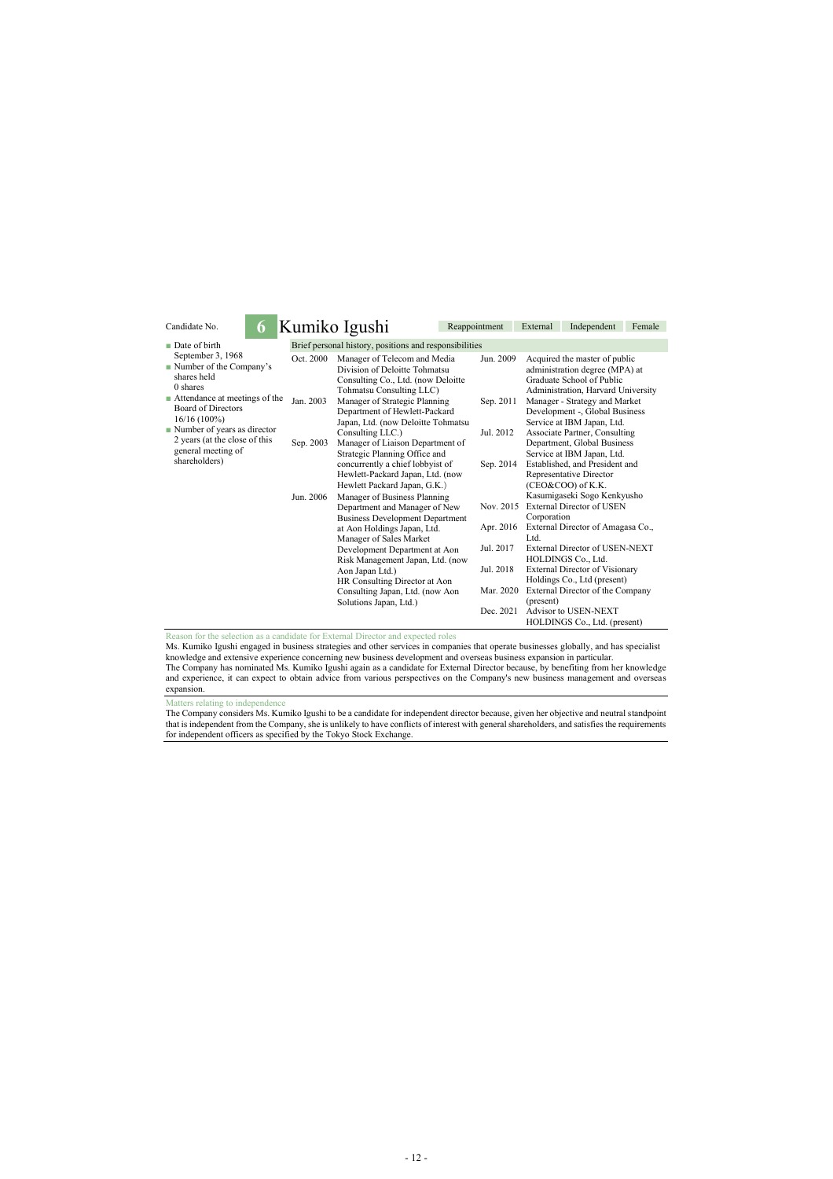| Candidate No.                                                               | 6 <sup>1</sup>                                             |           | Kumiko Igushi                                                                                                                   | Reappointment |           | External                                                     | Independent                                                                                                                        | Female |  |
|-----------------------------------------------------------------------------|------------------------------------------------------------|-----------|---------------------------------------------------------------------------------------------------------------------------------|---------------|-----------|--------------------------------------------------------------|------------------------------------------------------------------------------------------------------------------------------------|--------|--|
| Date of birth                                                               |                                                            |           | Brief personal history, positions and responsibilities                                                                          |               |           |                                                              |                                                                                                                                    |        |  |
| September 3, 1968<br>shares held<br>$0$ shares                              | Number of the Company's<br>■ Attendance at meetings of the | Oct. 2000 | Manager of Telecom and Media<br>Division of Deloitte Tohmatsu<br>Consulting Co., Ltd. (now Deloitte<br>Tohmatsu Consulting LLC) |               | Jun. 2009 |                                                              | Acquired the master of public<br>administration degree (MPA) at<br>Graduate School of Public<br>Administration, Harvard University |        |  |
| <b>Board of Directors</b><br>$16/16(100\%)$                                 |                                                            | Jan. 2003 | Manager of Strategic Planning<br>Department of Hewlett-Packard<br>Japan, Ltd. (now Deloitte Tohmatsu                            |               | Sep. 2011 |                                                              | Manager - Strategy and Market<br>Development -, Global Business<br>Service at IBM Japan, Ltd.                                      |        |  |
| $\blacksquare$ Number of years as director<br>2 years (at the close of this |                                                            | Sep. 2003 | Consulting LLC.)<br>Manager of Liaison Department of                                                                            |               | Jul. 2012 |                                                              | Associate Partner, Consulting<br>Department, Global Business                                                                       |        |  |
| general meeting of<br>shareholders)                                         |                                                            |           | Strategic Planning Office and<br>concurrently a chief lobbyist of                                                               |               | Sep. 2014 | Service at IBM Japan, Ltd.<br>Established, and President and |                                                                                                                                    |        |  |
|                                                                             |                                                            |           | Hewlett-Packard Japan, Ltd. (now<br>Hewlett Packard Japan, G.K.)                                                                |               |           | Representative Director<br>(CEO&COO) of K.K.                 |                                                                                                                                    |        |  |
|                                                                             |                                                            | Jun. 2006 | Manager of Business Planning<br>Department and Manager of New                                                                   |               | Nov. 2015 | Corporation                                                  | Kasumigaseki Sogo Kenkyusho<br><b>External Director of USEN</b>                                                                    |        |  |
|                                                                             |                                                            |           | <b>Business Development Department</b><br>at Aon Holdings Japan, Ltd.<br>Manager of Sales Market                                |               | Apr. 2016 | Ltd.                                                         | External Director of Amagasa Co.,                                                                                                  |        |  |
|                                                                             |                                                            |           | Development Department at Aon<br>Risk Management Japan, Ltd. (now                                                               |               | Jul. 2017 |                                                              | External Director of USEN-NEXT<br>HOLDINGS Co., Ltd.                                                                               |        |  |
|                                                                             |                                                            |           | Aon Japan Ltd.)<br>HR Consulting Director at Aon                                                                                |               | Jul. 2018 |                                                              | <b>External Director of Visionary</b><br>Holdings Co., Ltd (present)                                                               |        |  |
|                                                                             |                                                            |           | Consulting Japan, Ltd. (now Aon<br>Solutions Japan, Ltd.)                                                                       |               | Mar. 2020 | (present)                                                    | External Director of the Company                                                                                                   |        |  |
|                                                                             |                                                            |           |                                                                                                                                 |               | Dec. 2021 |                                                              | Advisor to USEN-NEXT<br>HOLDINGS Co., Ltd. (present)                                                                               |        |  |

Reason for the selection as a candidate for External Director and expected roles

Ms. Kumiko Igushi engaged in business strategies and other services in companies that operate businesses globally, and has specialist knowledge and extensive experience concerning new business development and overseas business expansion in particular. The Company has nominated Ms. Kumiko Igushi again as a candidate for External Director because, by benefiting from her knowledge and experience, it can expect to obtain advice from various perspectives on the Company's new business management and overseas expansion.

Matters relating to independence

п

The Company considers Ms. Kumiko Igushi to be a candidate for independent director because, given her objective and neutral standpoint that is independent from the Company, she is unlikely to have conflicts of interest with general shareholders, and satisfies the requirements for independent officers as specified by the Tokyo Stock Exchange.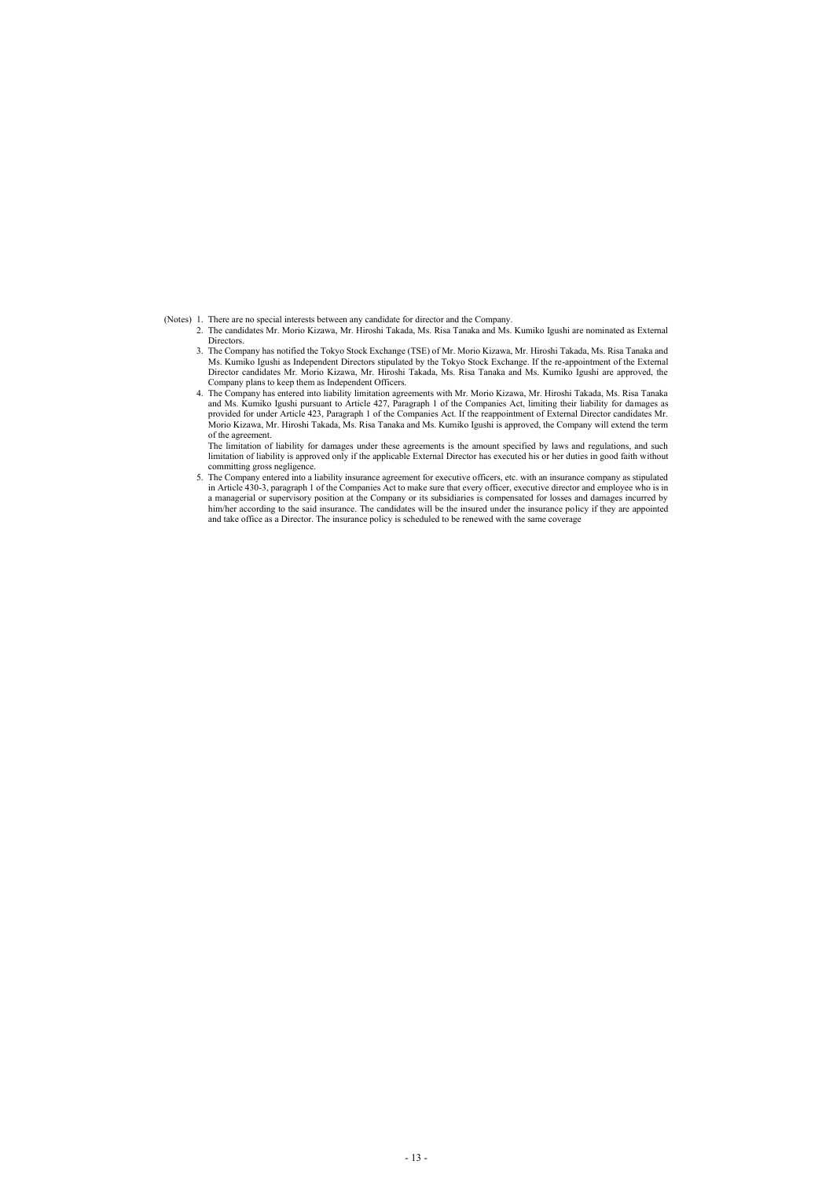(Notes) 1. There are no special interests between any candidate for director and the Company.

- 2. The candidates Mr. Morio Kizawa, Mr. Hiroshi Takada, Ms. Risa Tanaka and Ms. Kumiko Igushi are nominated as External Directors.
- 3. The Company has notified the Tokyo Stock Exchange (TSE) of Mr. Morio Kizawa, Mr. Hiroshi Takada, Ms. Risa Tanaka and Ms. Kumiko Igushi as Independent Directors stipulated by the Tokyo Stock Exchange. If the re-appointment of the External Director candidates Mr. Morio Kizawa, Mr. Hiroshi Takada, Ms. Risa Tanaka and Ms. Kumiko Igushi are approved, the Company plans to keep them as Independent Officers.
- 4. The Company has entered into liability limitation agreements with Mr. Morio Kizawa, Mr. Hiroshi Takada, Ms. Risa Tanaka and Ms. Kumiko Igushi pursuant to Article 427, Paragraph 1 of the Companies Act, limiting their liability for damages as provided for under Article 423, Paragraph 1 of the Companies Act. If the reappointment of External Director candidates Mr. Morio Kizawa, Mr. Hiroshi Takada, Ms. Risa Tanaka and Ms. Kumiko Igushi is approved, the Company will extend the term of the agreement.

The limitation of liability for damages under these agreements is the amount specified by laws and regulations, and such limitation of liability is approved only if the applicable External Director has executed his or her duties in good faith without committing gross negligence.

5. The Company entered into a liability insurance agreement for executive officers, etc. with an insurance company as stipulated in Article 430-3, paragraph 1 of the Companies Act to make sure that every officer, executive director and employee who is in a managerial or supervisory position at the Company or its subsidiaries is compensated for losses and damages incurred by him/her according to the said insurance. The candidates will be the insured under the insurance policy if they are appointed and take office as a Director. The insurance policy is scheduled to be renewed with the same coverage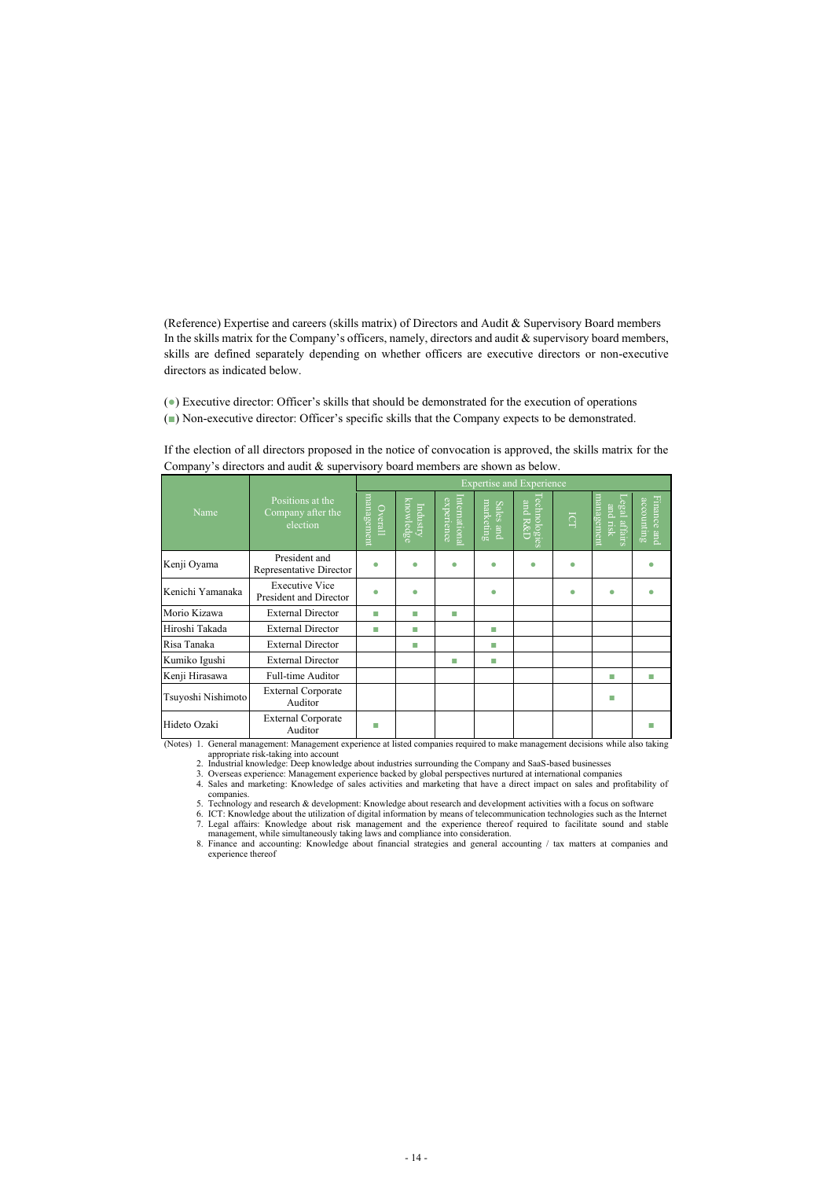(Reference) Expertise and careers (skills matrix) of Directors and Audit & Supervisory Board members In the skills matrix for the Company's officers, namely, directors and audit & supervisory board members, skills are defined separately depending on whether officers are executive directors or non-executive directors as indicated below.

(●) Executive director: Officer's skills that should be demonstrated for the execution of operations (■) Non-executive director: Officer's specific skills that the Company expects to be demonstrated.

If the election of all directors proposed in the notice of convocation is approved, the skills matrix for the Company's directors and audit & supervisory board members are shown as below.

|                    |                                                   | <b>Expertise and Experience</b> |                       |                            |                        |                        |                |                                            |                                                          |  |
|--------------------|---------------------------------------------------|---------------------------------|-----------------------|----------------------------|------------------------|------------------------|----------------|--------------------------------------------|----------------------------------------------------------|--|
| Name               | Positions at the<br>Company after the<br>election | management<br>Overal            | knowledge<br>Industry | Internationa<br>experience | marketing<br>Sales and | echnologies<br>and R&D | $\overline{C}$ | anagement<br>ega<br>and<br>risk<br>affairs | Finance<br>acc<br>ö<br>∊<br>$3$ untung<br><sub>pus</sub> |  |
| Kenji Oyama        | President and<br>Representative Director          | ۵                               | $\bullet$             | ۸                          | ۸                      | ۰                      | ۰              |                                            |                                                          |  |
| Kenichi Yamanaka   | <b>Executive Vice</b><br>President and Director   | c                               | 0                     |                            | ۸                      |                        | 0              | c                                          |                                                          |  |
| Morio Kizawa       | <b>External Director</b>                          | П                               | п                     | П                          |                        |                        |                |                                            |                                                          |  |
| Hiroshi Takada     | <b>External Director</b>                          | П                               | п                     |                            | m.                     |                        |                |                                            |                                                          |  |
| Risa Tanaka        | <b>External Director</b>                          |                                 | ш                     |                            | m.                     |                        |                |                                            |                                                          |  |
| Kumiko Igushi      | <b>External Director</b>                          |                                 |                       | П                          | m.                     |                        |                |                                            |                                                          |  |
| Kenji Hirasawa     | <b>Full-time Auditor</b>                          |                                 |                       |                            |                        |                        |                | П                                          | П                                                        |  |
| Tsuyoshi Nishimoto | <b>External Corporate</b><br>Auditor              |                                 |                       |                            |                        |                        |                | П                                          |                                                          |  |
| Hideto Ozaki       | <b>External Corporate</b><br>Auditor              | г                               |                       |                            |                        |                        |                |                                            |                                                          |  |

(Notes) 1. General management: Management experience at listed companies required to make management decisions while also taking

appropriate risk-taking into account 2. Industrial knowledge: Deep knowledge about industries surrounding the Company and SaaS-based businesses

3. Overseas experience: Management experience backed by global perspectives nurtured at international companies

4. Sales and marketing: Knowledge of sales activities and marketing that have a direct impact on sales and profitability of companies.

5. Technology and research & development: Knowledge about research and development activities with a focus on software

6. ICT: Knowledge about the utilization of digital information by means of telecommunication technologies such as the Internet 7. Legal affairs: Knowledge about risk management and the experience thereof required to facilitate sound and stable management, while simultaneously taking laws and compliance into consideration.

8. Finance and accounting: Knowledge about financial strategies and general accounting / tax matters at companies and experience thereof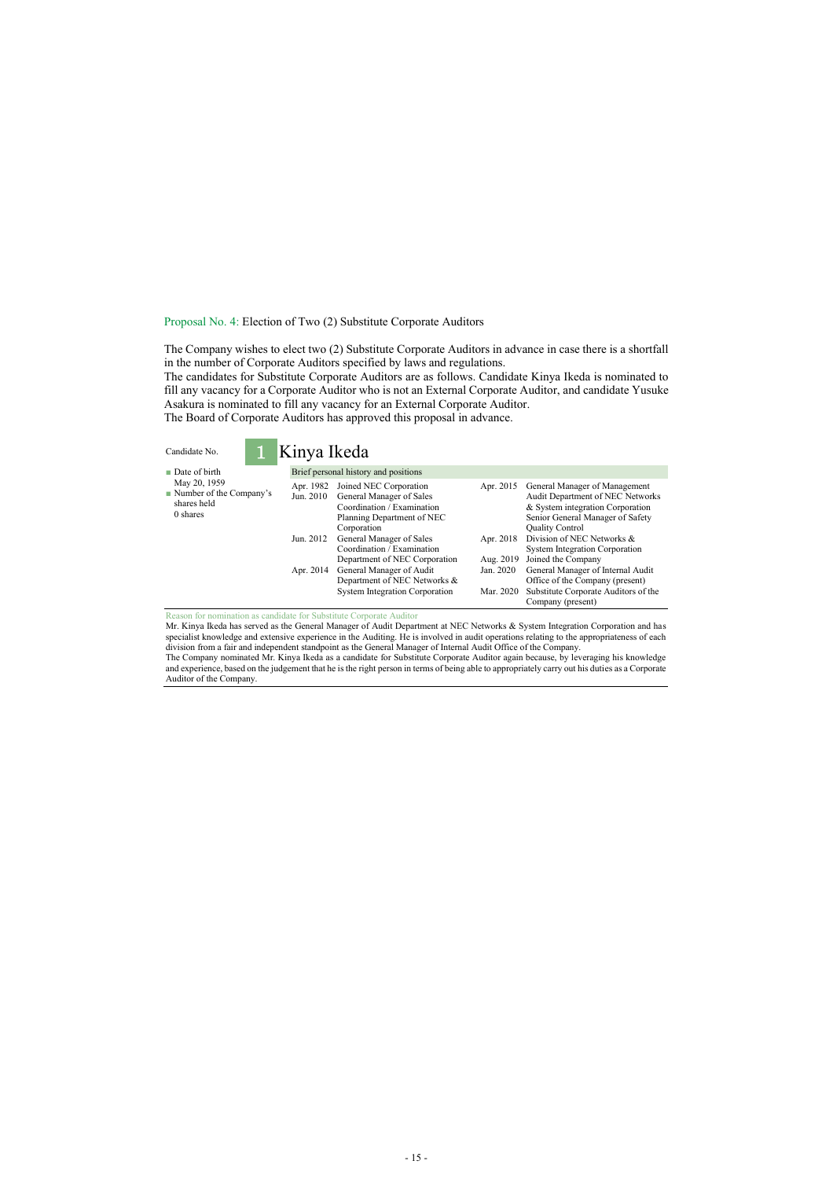Proposal No. 4: Election of Two (2) Substitute Corporate Auditors

The Company wishes to elect two (2) Substitute Corporate Auditors in advance in case there is a shortfall in the number of Corporate Auditors specified by laws and regulations.

The candidates for Substitute Corporate Auditors are as follows. Candidate Kinya Ikeda is nominated to fill any vacancy for a Corporate Auditor who is not an External Corporate Auditor, and candidate Yusuke Asakura is nominated to fill any vacancy for an External Corporate Auditor.

The Board of Corporate Auditors has approved this proposal in advance.

| Candidate No.                                                      |  | Kinya Ikeda                          |                                                                                                                               |                        |                                                                                                                                                                     |  |  |
|--------------------------------------------------------------------|--|--------------------------------------|-------------------------------------------------------------------------------------------------------------------------------|------------------------|---------------------------------------------------------------------------------------------------------------------------------------------------------------------|--|--|
| $\blacksquare$ Date of birth                                       |  | Brief personal history and positions |                                                                                                                               |                        |                                                                                                                                                                     |  |  |
| May 20, 1959<br>Number of the Company's<br>shares held<br>0 shares |  | Apr. 1982<br>Jun. 2010               | Joined NEC Corporation<br>General Manager of Sales<br>Coordination / Examination<br>Planning Department of NEC<br>Corporation | Apr. 2015              | General Manager of Management<br>Audit Department of NEC Networks<br>& System integration Corporation<br>Senior General Manager of Safety<br><b>Quality Control</b> |  |  |
|                                                                    |  | Jun. 2012                            | General Manager of Sales<br>Coordination / Examination<br>Department of NEC Corporation                                       | Apr. 2018<br>Aug. 2019 | Division of NEC Networks &<br><b>System Integration Corporation</b><br>Joined the Company                                                                           |  |  |
|                                                                    |  | Apr. 2014                            | General Manager of Audit<br>Department of NEC Networks &<br><b>System Integration Corporation</b>                             | Jan. 2020<br>Mar. 2020 | General Manager of Internal Audit<br>Office of the Company (present)<br>Substitute Corporate Auditors of the<br>Company (present)                                   |  |  |

Reason for nomination as candidate for Substitute Corporate Auditor

Mr. Kinya Ikeda has served as the General Manager of Audit Department at NEC Networks & System Integration Corporation and has specialist knowledge and extensive experience in the Auditing. He is involved in audit operations relating to the appropriateness of each division from a fair and independent standpoint as the General Manager of Internal Audit Office of the Company. The Company nominated Mr. Kinya Ikeda as a candidate for Substitute Corporate Auditor again because, by leveraging his knowledge

and experience, based on the judgement that he is the right person in terms of being able to appropriately carry out his duties as a Corporate Auditor of the Company.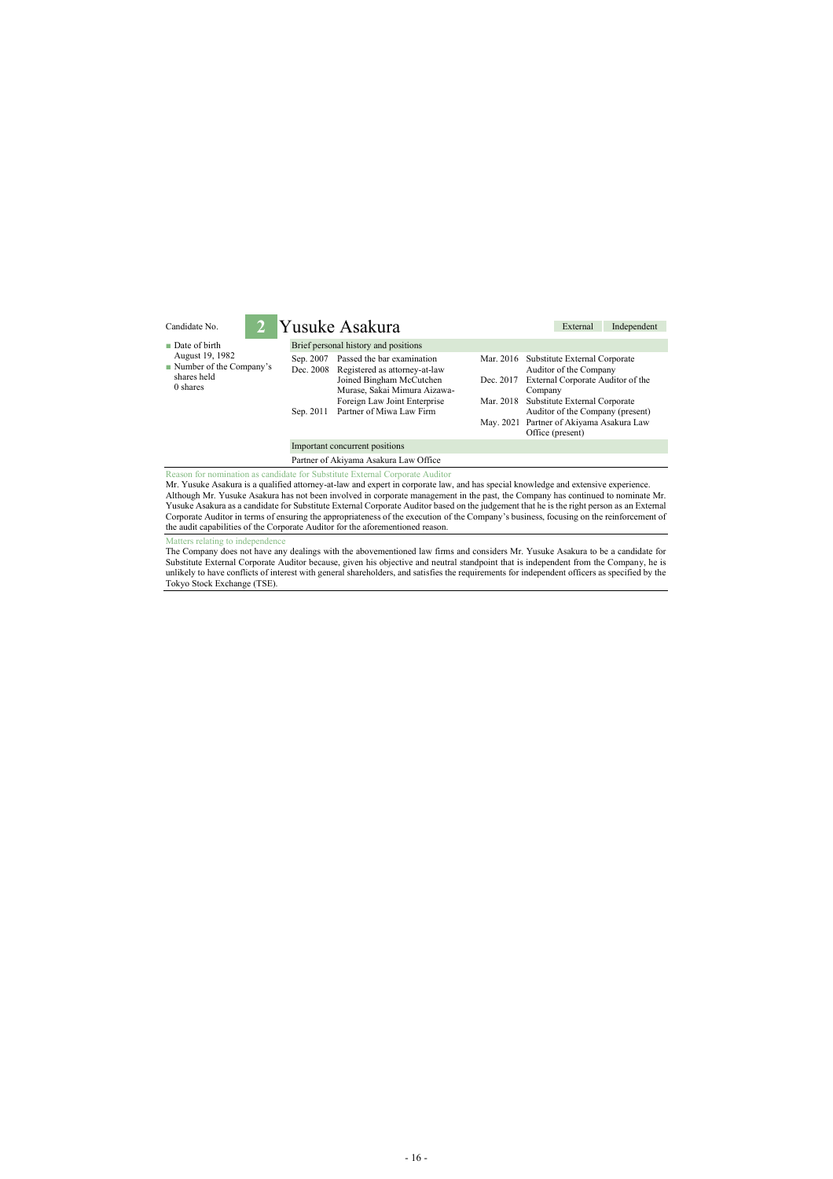| Candidate No.                                                                                         |  | 2 Yusuke Asakura                                                             | External<br>Independent                                                  |                                                                                                                                                                                                                                                                        |  |  |
|-------------------------------------------------------------------------------------------------------|--|------------------------------------------------------------------------------|--------------------------------------------------------------------------|------------------------------------------------------------------------------------------------------------------------------------------------------------------------------------------------------------------------------------------------------------------------|--|--|
| $\blacksquare$ Date of birth<br>August 19, 1982<br>Number of the Company's<br>shares held<br>0 shares |  | Brief personal history and positions                                         |                                                                          |                                                                                                                                                                                                                                                                        |  |  |
|                                                                                                       |  | Sep. 2007<br>Dec. 2008                                                       | Passed the bar examination<br>Mar. 2016<br>Registered as attorney-at-law | Substitute External Corporate<br>Auditor of the Company                                                                                                                                                                                                                |  |  |
|                                                                                                       |  |                                                                              | Joined Bingham McCutchen<br>Dec. 2017<br>Murase, Sakai Mimura Aizawa-    | External Corporate Auditor of the<br>Company                                                                                                                                                                                                                           |  |  |
|                                                                                                       |  | Sep. 2011                                                                    | Foreign Law Joint Enterprise<br>Mar. 2018<br>Partner of Miwa Law Firm    | Substitute External Corporate<br>Auditor of the Company (present)                                                                                                                                                                                                      |  |  |
|                                                                                                       |  |                                                                              | May. 2021                                                                | Partner of Akiyama Asakura Law<br>Office (present)                                                                                                                                                                                                                     |  |  |
|                                                                                                       |  | Important concurrent positions                                               |                                                                          |                                                                                                                                                                                                                                                                        |  |  |
|                                                                                                       |  | Partner of Akiyama Asakura Law Office                                        |                                                                          |                                                                                                                                                                                                                                                                        |  |  |
|                                                                                                       |  | Reason for nomination as candidate for Substitute External Corporate Auditor |                                                                          | Mr. Yusuke Asakura is a qualified attorney-at-law and expert in corporate law, and has special knowledge and extensive experience.<br>Although Mr. Yusuke Asakura has not been involved in corporate management in the past, the Company has continued to nominate Mr. |  |  |

Although Mr. Yusuke Asakura has not been involved in corporate management in the past, the Company has continued to nominate Mr. Yusuke Asakura as a candidate for Substitute External Corporate Auditor based on the judgement that he is the right person as an External Corporate Auditor in terms of ensuring the appropriateness of the execution of the Company's business, focusing on the reinforcement of the audit capabilities of the Corporate Auditor for the aforementioned reason.

#### Matters relating to independence

The Company does not have any dealings with the abovementioned law firms and considers Mr. Yusuke Asakura to be a candidate for Substitute External Corporate Auditor because, given his objective and neutral standpoint that is independent from the Company, he is unlikely to have conflicts of interest with general shareholders, and satisfies the requirements for independent officers as specified by the Tokyo Stock Exchange (TSE).